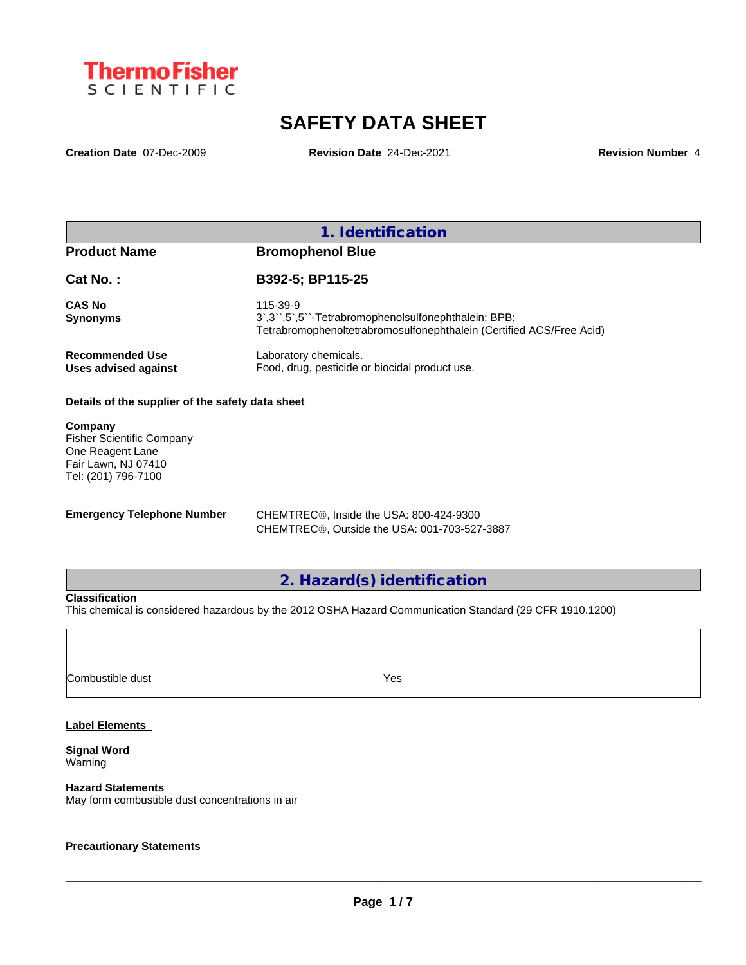

# **SAFETY DATA SHEET**

**Creation Date** 07-Dec-2009 **Revision Date** 24-Dec-2021 **Revision Number** 4

### **1. Identification**

### **Product Name Bromophenol Blue**

| <b>Cat No.:</b>      | B392-5; BP115-25                                                     |
|----------------------|----------------------------------------------------------------------|
| CAS No<br>Synonyms   | 115-39-9                                                             |
|                      | Tetrabromophenoltetrabromosulfonephthalein (Certified ACS/Free Acid) |
| Recommended Use      | Laboratory chemicals.                                                |
| Uses advised against | Food, drug, pesticide or biocidal product use.                       |

#### **Details of the supplier of the safety data sheet**

**Company**  Fisher Scientific Company One Reagent Lane Fair Lawn, NJ 07410 Tel: (201) 796-7100

**Emergency Telephone Number** CHEMTREC®, Inside the USA: 800-424-9300 CHEMTREC®, Outside the USA: 001-703-527-3887

**2. Hazard(s) identification**

#### **Classification**

This chemical is considered hazardous by the 2012 OSHA Hazard Communication Standard (29 CFR 1910.1200)

**Combustible dust** Yes

#### **Label Elements**

**Signal Word** Warning

#### **Hazard Statements**

May form combustible dust concentrations in air

#### **Precautionary Statements**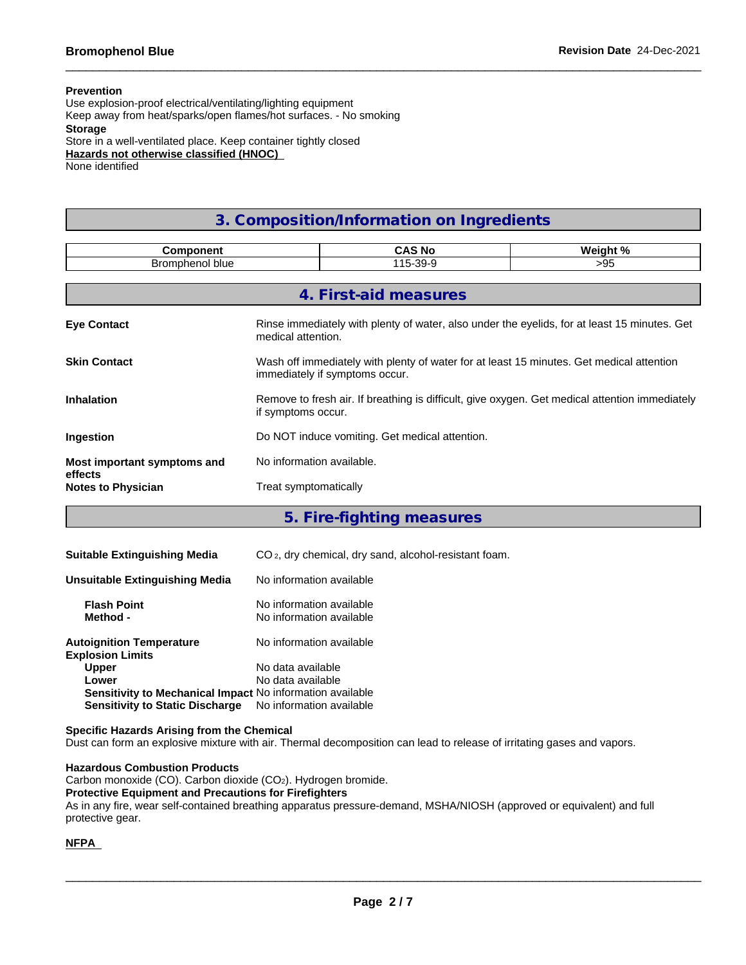#### **Prevention**

Use explosion-proof electrical/ventilating/lighting equipment Keep away from heat/sparks/open flames/hot surfaces. - No smoking **Storage** Store in a well-ventilated place. Keep container tightly closed **Hazards not otherwise classified (HNOC)** None identified

## **3. Composition/Information on Ingredients**

| <b>Component</b>                       |                                | <b>CAS No</b>                                  | Weight %                                                                                       |
|----------------------------------------|--------------------------------|------------------------------------------------|------------------------------------------------------------------------------------------------|
| Bromphenol blue                        |                                | 115-39-9                                       | >95                                                                                            |
|                                        |                                |                                                |                                                                                                |
|                                        |                                | 4. First-aid measures                          |                                                                                                |
| <b>Eye Contact</b>                     | medical attention.             |                                                | Rinse immediately with plenty of water, also under the eyelids, for at least 15 minutes. Get   |
| <b>Skin Contact</b>                    | immediately if symptoms occur. |                                                | Wash off immediately with plenty of water for at least 15 minutes. Get medical attention       |
| <b>Inhalation</b>                      | if symptoms occur.             |                                                | Remove to fresh air. If breathing is difficult, give oxygen. Get medical attention immediately |
| Ingestion                              |                                | Do NOT induce vomiting. Get medical attention. |                                                                                                |
| Most important symptoms and<br>effects | No information available.      |                                                |                                                                                                |
| <b>Notes to Physician</b>              | Treat symptomatically          |                                                |                                                                                                |
|                                        |                                |                                                |                                                                                                |

**5. Fire-fighting measures**

| <b>Suitable Extinguishing Media</b>                        | CO <sub>2</sub> , dry chemical, dry sand, alcohol-resistant foam. |
|------------------------------------------------------------|-------------------------------------------------------------------|
| Unsuitable Extinguishing Media                             | No information available                                          |
| <b>Flash Point</b><br>Method -                             | No information available<br>No information available              |
| <b>Autoignition Temperature</b><br><b>Explosion Limits</b> | No information available                                          |
| <b>Upper</b>                                               | No data available                                                 |
| Lower                                                      | No data available                                                 |
| Sensitivity to Mechanical Impact No information available  |                                                                   |
| <b>Sensitivity to Static Discharge</b>                     | No information available                                          |

**Specific Hazards Arising from the Chemical**

Dust can form an explosive mixture with air. Thermal decomposition can lead to release of irritating gases and vapors.

**Hazardous Combustion Products**

Carbon monoxide (CO). Carbon dioxide (CO2). Hydrogen bromide.

#### **Protective Equipment and Precautions for Firefighters**

As in any fire, wear self-contained breathing apparatus pressure-demand, MSHA/NIOSH (approved or equivalent) and full protective gear.

#### **NFPA**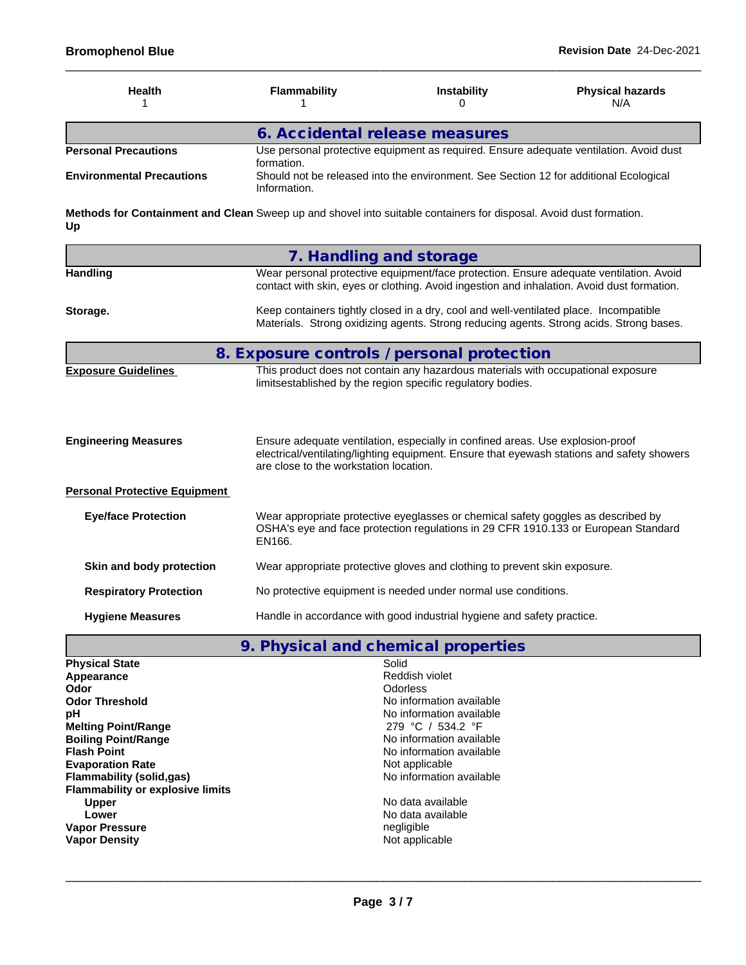| <b>Health</b>                    | Flammability                                                                                         | <b>Instability</b>                                                                    | <b>Physical hazards</b><br>N/A |  |
|----------------------------------|------------------------------------------------------------------------------------------------------|---------------------------------------------------------------------------------------|--------------------------------|--|
|                                  | 6. Accidental release measures                                                                       |                                                                                       |                                |  |
| <b>Personal Precautions</b>      | Use personal protective equipment as required. Ensure adequate ventilation. Avoid dust<br>formation. |                                                                                       |                                |  |
| <b>Environmental Precautions</b> | Information.                                                                                         | Should not be released into the environment. See Section 12 for additional Ecological |                                |  |

**Methods for Containment and Clean** Sweep up and shovel into suitable containers for disposal. Avoid dust formation. **Up**

|                                      | 7. Handling and storage                                                                                                                                                                                                |
|--------------------------------------|------------------------------------------------------------------------------------------------------------------------------------------------------------------------------------------------------------------------|
| <b>Handling</b>                      | Wear personal protective equipment/face protection. Ensure adequate ventilation. Avoid<br>contact with skin, eyes or clothing. Avoid ingestion and inhalation. Avoid dust formation.                                   |
| Storage.                             | Keep containers tightly closed in a dry, cool and well-ventilated place. Incompatible<br>Materials. Strong oxidizing agents. Strong reducing agents. Strong acids. Strong bases.                                       |
|                                      | 8. Exposure controls / personal protection                                                                                                                                                                             |
| <b>Exposure Guidelines</b>           | This product does not contain any hazardous materials with occupational exposure<br>limitsestablished by the region specific regulatory bodies.                                                                        |
| <b>Engineering Measures</b>          | Ensure adequate ventilation, especially in confined areas. Use explosion-proof<br>electrical/ventilating/lighting equipment. Ensure that eyewash stations and safety showers<br>are close to the workstation location. |
| <b>Personal Protective Equipment</b> |                                                                                                                                                                                                                        |
| <b>Eye/face Protection</b>           | Wear appropriate protective eyeglasses or chemical safety goggles as described by<br>OSHA's eye and face protection regulations in 29 CFR 1910.133 or European Standard<br>EN166.                                      |
| Skin and body protection             | Wear appropriate protective gloves and clothing to prevent skin exposure.                                                                                                                                              |
| <b>Respiratory Protection</b>        | No protective equipment is needed under normal use conditions.                                                                                                                                                         |
| <b>Hygiene Measures</b>              | Handle in accordance with good industrial hygiene and safety practice.                                                                                                                                                 |

**9. Physical and chemical properties**

| <b>Physical State</b>                   | Solid                    |
|-----------------------------------------|--------------------------|
| Appearance                              | Reddish violet           |
| Odor                                    | <b>Odorless</b>          |
| <b>Odor Threshold</b>                   | No information available |
| рH                                      | No information available |
| <b>Melting Point/Range</b>              | 279 °C / 534.2 °F        |
| <b>Boiling Point/Range</b>              | No information available |
| <b>Flash Point</b>                      | No information available |
| <b>Evaporation Rate</b>                 | Not applicable           |
| Flammability (solid,gas)                | No information available |
| <b>Flammability or explosive limits</b> |                          |
| <b>Upper</b>                            | No data available        |
| Lower                                   | No data available        |
| <b>Vapor Pressure</b>                   | negligible               |
| <b>Vapor Density</b>                    | Not applicable           |
|                                         |                          |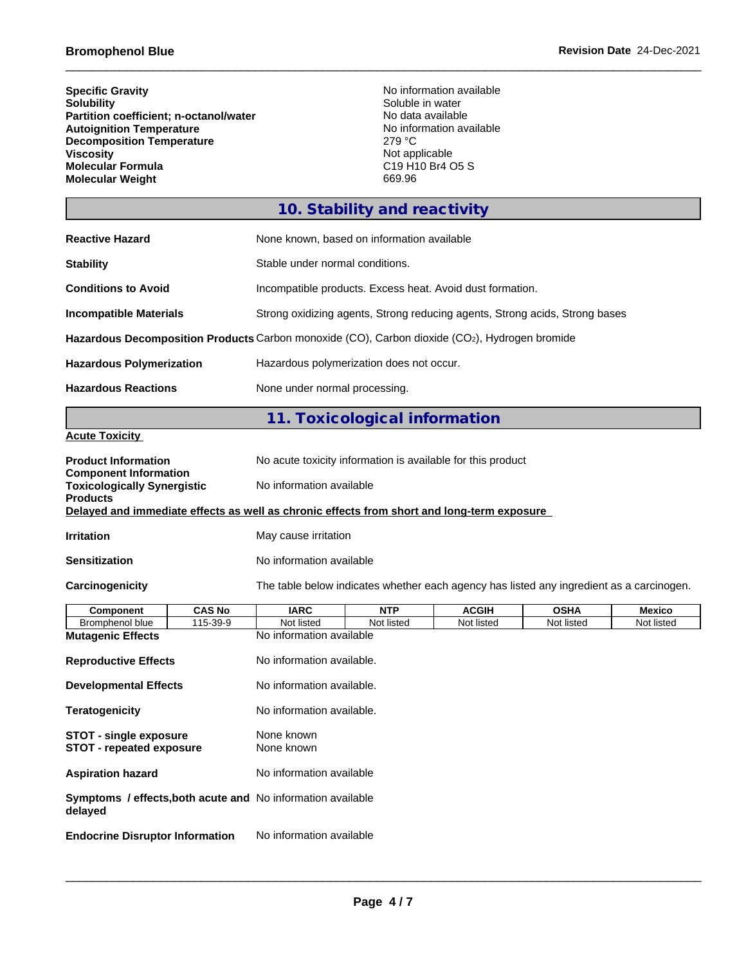| <b>Specific Gravity</b>                | No information available                                         |
|----------------------------------------|------------------------------------------------------------------|
| <b>Solubility</b>                      | Soluble in water                                                 |
| Partition coefficient; n-octanol/water | No data available                                                |
| <b>Autoignition Temperature</b>        | No information available                                         |
| <b>Decomposition Temperature</b>       | 279 °C                                                           |
| <b>Viscosity</b>                       | Not applicable                                                   |
| <b>Molecular Formula</b>               | C <sub>19</sub> H <sub>10</sub> B <sub>r4</sub> O <sub>5</sub> S |
| <b>Molecular Weight</b>                | 669.96                                                           |

# **10. Stability and reactivity**

| <b>Reactive Hazard</b>          | None known, based on information available                                                    |
|---------------------------------|-----------------------------------------------------------------------------------------------|
| <b>Stability</b>                | Stable under normal conditions.                                                               |
| <b>Conditions to Avoid</b>      | Incompatible products. Excess heat. Avoid dust formation.                                     |
| <b>Incompatible Materials</b>   | Strong oxidizing agents, Strong reducing agents, Strong acids, Strong bases                   |
|                                 | Hazardous Decomposition Products Carbon monoxide (CO), Carbon dioxide (CO2), Hydrogen bromide |
| <b>Hazardous Polymerization</b> | Hazardous polymerization does not occur.                                                      |
| <b>Hazardous Reactions</b>      | None under normal processing.                                                                 |

# **11. Toxicological information**

**Acute Toxicity**

| <b>Product Information</b><br><b>Component Information</b>                                 |                                                                                          | No acute toxicity information is available for this product |                      |              |             |               |
|--------------------------------------------------------------------------------------------|------------------------------------------------------------------------------------------|-------------------------------------------------------------|----------------------|--------------|-------------|---------------|
| <b>Toxicologically Synergistic</b><br><b>Products</b>                                      |                                                                                          | No information available                                    |                      |              |             |               |
| Delayed and immediate effects as well as chronic effects from short and long-term exposure |                                                                                          |                                                             |                      |              |             |               |
| <b>Irritation</b>                                                                          |                                                                                          |                                                             | May cause irritation |              |             |               |
| <b>Sensitization</b>                                                                       |                                                                                          | No information available                                    |                      |              |             |               |
| Carcinogenicity                                                                            | The table below indicates whether each agency has listed any ingredient as a carcinogen. |                                                             |                      |              |             |               |
| <b>Component</b>                                                                           | <b>CAS No</b>                                                                            | <b>IARC</b>                                                 | <b>NTP</b>           | <b>ACGIH</b> | <b>OSHA</b> | <b>Mexico</b> |
| Bromphenol blue                                                                            | 115-39-9                                                                                 | Not listed                                                  | Not listed           | Not listed   | Not listed  | Not listed    |
| <b>Mutagenic Effects</b>                                                                   |                                                                                          | No information available                                    |                      |              |             |               |
| <b>Reproductive Effects</b>                                                                |                                                                                          | No information available.                                   |                      |              |             |               |
| <b>Developmental Effects</b>                                                               |                                                                                          | No information available.                                   |                      |              |             |               |
| <b>Teratogenicity</b>                                                                      |                                                                                          | No information available.                                   |                      |              |             |               |
| <b>STOT - single exposure</b><br><b>STOT - repeated exposure</b>                           |                                                                                          | None known<br>None known                                    |                      |              |             |               |
| <b>Aspiration hazard</b>                                                                   |                                                                                          | No information available                                    |                      |              |             |               |
| <b>Symptoms / effects, both acute and No information available</b><br>delayed              |                                                                                          |                                                             |                      |              |             |               |
| <b>Endocrine Disruptor Information</b>                                                     |                                                                                          | No information available                                    |                      |              |             |               |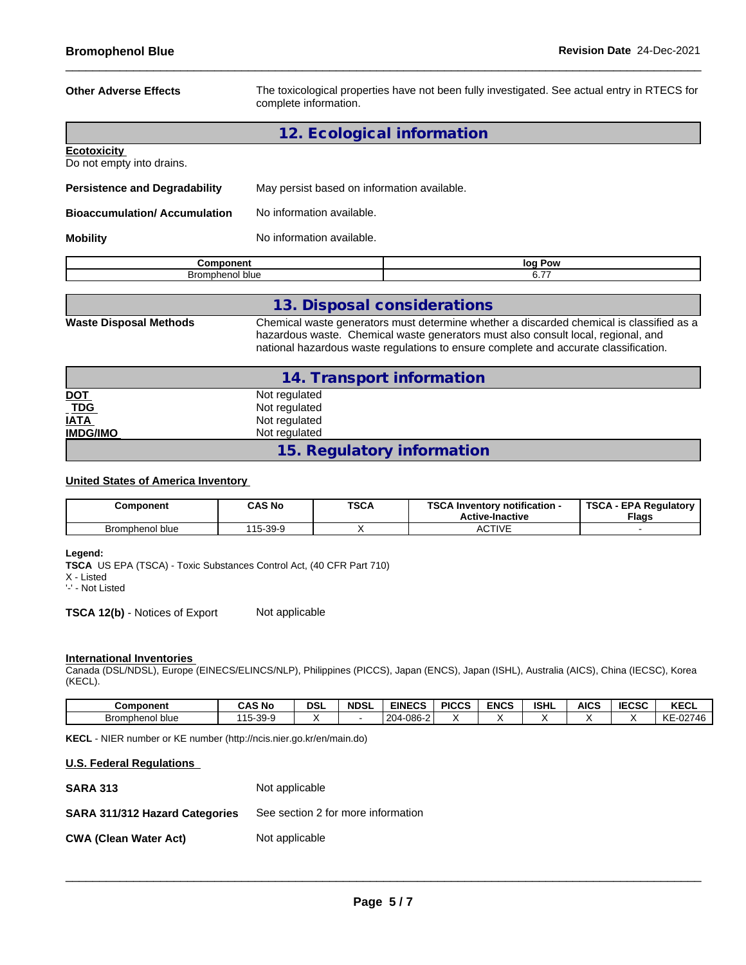| <b>Other Adverse Effects</b>                    | The toxicological properties have not been fully investigated. See actual entry in RTECS for<br>complete information. |         |  |
|-------------------------------------------------|-----------------------------------------------------------------------------------------------------------------------|---------|--|
|                                                 | 12. Ecological information                                                                                            |         |  |
| <b>Ecotoxicity</b><br>Do not empty into drains. |                                                                                                                       |         |  |
| <b>Persistence and Degradability</b>            | May persist based on information available.                                                                           |         |  |
| <b>Bioaccumulation/Accumulation</b>             | No information available.                                                                                             |         |  |
| <b>Mobility</b>                                 | No information available.                                                                                             |         |  |
| Component                                       |                                                                                                                       | log Pow |  |
| Bromphenol blue                                 |                                                                                                                       | 6.77    |  |

| Bromphenol blue               |                                                                                                                                                                               |
|-------------------------------|-------------------------------------------------------------------------------------------------------------------------------------------------------------------------------|
|                               |                                                                                                                                                                               |
|                               | 13. Disposal considerations                                                                                                                                                   |
| <b>Waste Disposal Methods</b> | Chemical waste generators must determine whether a discarded chemical is classified as a<br>hazardous waste. Chemical waste generators must also consult local, regional, and |

national hazardous waste regulations to ensure complete and accurate classification.

|                                                            | 14. Transport information  |  |
|------------------------------------------------------------|----------------------------|--|
| <u>DOT</u>                                                 | Not regulated              |  |
|                                                            | Not regulated              |  |
| $\underline{\overline{IDG}}$<br>$\underline{\overline{I}}$ | Not regulated              |  |
| <b>IMDG/IMO</b>                                            | Not regulated              |  |
|                                                            | 15. Regulatory information |  |

#### **United States of America Inventory**

| Component       | <b>CAS No</b> | <b>TSCA</b> | TOO A<br><b>∖ Inventorv notification -</b><br>an a<br><b>Active-Inactive</b> | TSCA<br><b>Flags</b> |  |
|-----------------|---------------|-------------|------------------------------------------------------------------------------|----------------------|--|
| Bromphenol blue | $15 - 39 - 9$ |             | <b>CTIVE</b><br>8911 V L                                                     |                      |  |

#### **Legend:**

**TSCA** US EPA (TSCA) - Toxic Substances Control Act, (40 CFR Part 710) X - Listed

'-' - Not Listed

**TSCA 12(b)** - Notices of Export Not applicable

#### **International Inventories**

Canada (DSL/NDSL), Europe (EINECS/ELINCS/NLP), Philippines (PICCS), Japan (ENCS), Japan (ISHL), Australia (AICS), China (IECSC), Korea (KECL).

| <b>Component</b> | <b>CAS No</b>    | <b>DSI</b> | <b>NDSL</b> | <b>EINECS</b>                                                | <b>PICCS</b> | <b>ENCS</b> | <b>ISHL</b> | <b>AICS</b> | <b>IECSC</b> | <b>KECL</b>                            |
|------------------|------------------|------------|-------------|--------------------------------------------------------------|--------------|-------------|-------------|-------------|--------------|----------------------------------------|
| Bromphenol blue  | -39-9<br>.<br>ັບ |            |             | 00C<br>$\sim$<br>$\sim$<br>70 L.<br>m-z<br>־טטט<br>−د ب<br>- |              |             |             |             |              | 1/T<br>00710<br>,,,<br>ĸE<br>∙U∠.<br>. |

**KECL** - NIER number or KE number (http://ncis.nier.go.kr/en/main.do)

#### **U.S. Federal Regulations**

| <b>SARA 313</b>                       | Not applicable                     |
|---------------------------------------|------------------------------------|
| <b>SARA 311/312 Hazard Categories</b> | See section 2 for more information |
| <b>CWA (Clean Water Act)</b>          | Not applicable                     |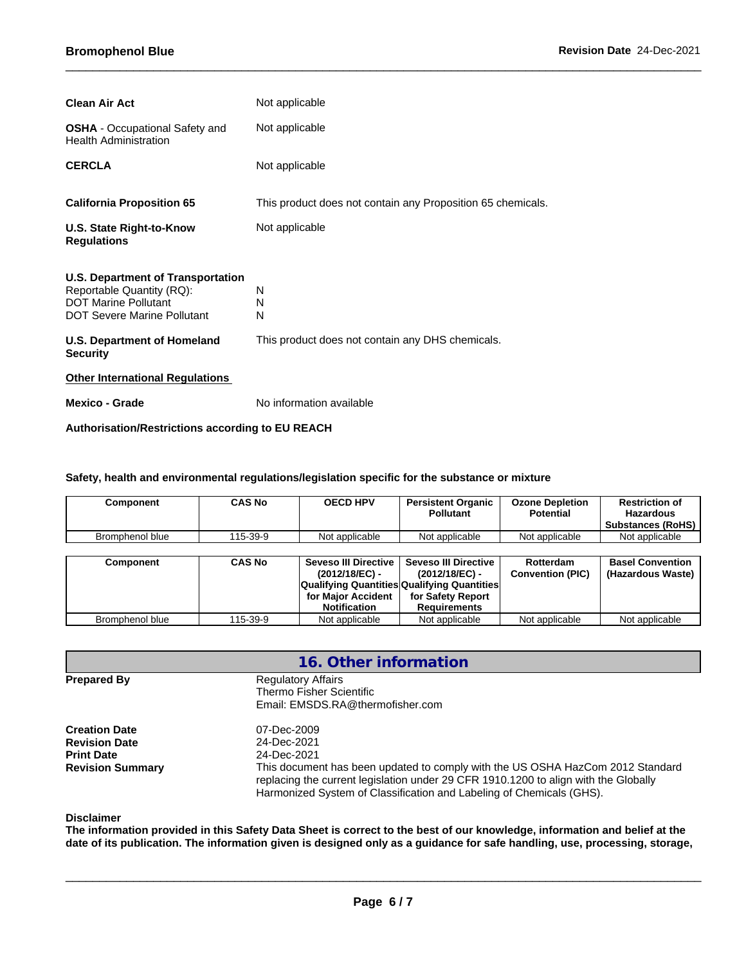| <b>Clean Air Act</b>                                                                                                                       | Not applicable                                              |
|--------------------------------------------------------------------------------------------------------------------------------------------|-------------------------------------------------------------|
| <b>OSHA</b> - Occupational Safety and<br><b>Health Administration</b>                                                                      | Not applicable                                              |
| <b>CERCLA</b>                                                                                                                              | Not applicable                                              |
| <b>California Proposition 65</b>                                                                                                           | This product does not contain any Proposition 65 chemicals. |
| U.S. State Right-to-Know<br><b>Regulations</b>                                                                                             | Not applicable                                              |
| <b>U.S. Department of Transportation</b><br>Reportable Quantity (RQ):<br><b>DOT Marine Pollutant</b><br><b>DOT Severe Marine Pollutant</b> | N<br>N<br>N                                                 |
| <b>U.S. Department of Homeland</b><br><b>Security</b>                                                                                      | This product does not contain any DHS chemicals.            |
| <b>Other International Regulations</b>                                                                                                     |                                                             |
| Mexico - Grade                                                                                                                             | No information available                                    |

#### **Authorisation/Restrictions according to EU REACH**

### **Safety, health and environmental regulations/legislation specific for the substance or mixture**

| Component       | CAS No   | <b>OECD HPV</b> | <b>Persistent Organic</b><br><b>Pollutant</b> | <b>Ozone Depletion</b><br><b>Potential</b> | <b>Restriction of</b><br><b>Hazardous</b><br><b>Substances (RoHS)</b> |
|-----------------|----------|-----------------|-----------------------------------------------|--------------------------------------------|-----------------------------------------------------------------------|
| Bromphenol blue | 115-39-9 | Not applicable  | Not applicable                                | Not applicable                             | Not applicable                                                        |

| Component       | <b>CAS No</b> | Seveso III Directive  <br>(2012/18/EC) -<br><b>Qualifying Quantities Qualifying Quantities</b> | <b>Seveso III Directive</b><br>(2012/18/EC) - | Rotterdam<br><b>Convention (PIC)</b> | <b>Basel Convention</b><br>(Hazardous Waste) |
|-----------------|---------------|------------------------------------------------------------------------------------------------|-----------------------------------------------|--------------------------------------|----------------------------------------------|
|                 |               | for Maior Accident<br><b>Notification</b>                                                      | for Safety Report<br><b>Requirements</b>      |                                      |                                              |
| Bromphenol blue | 115-39-9      | Not applicable                                                                                 | Not applicable                                | Not applicable                       | Not applicable                               |

|                                                                                              | 16. Other information                                                                                                                                                                                                                                                                      |  |  |  |
|----------------------------------------------------------------------------------------------|--------------------------------------------------------------------------------------------------------------------------------------------------------------------------------------------------------------------------------------------------------------------------------------------|--|--|--|
| <b>Prepared By</b>                                                                           | <b>Regulatory Affairs</b><br>Thermo Fisher Scientific<br>Email: EMSDS.RA@thermofisher.com                                                                                                                                                                                                  |  |  |  |
| <b>Creation Date</b><br><b>Revision Date</b><br><b>Print Date</b><br><b>Revision Summary</b> | 07-Dec-2009<br>24-Dec-2021<br>24-Dec-2021<br>This document has been updated to comply with the US OSHA HazCom 2012 Standard<br>replacing the current legislation under 29 CFR 1910.1200 to align with the Globally<br>Harmonized System of Classification and Labeling of Chemicals (GHS). |  |  |  |

#### **Disclaimer**

The information provided in this Safety Data Sheet is correct to the best of our knowledge, information and belief at the date of its publication. The information given is designed only as a guidance for safe handling, use, processing, storage,